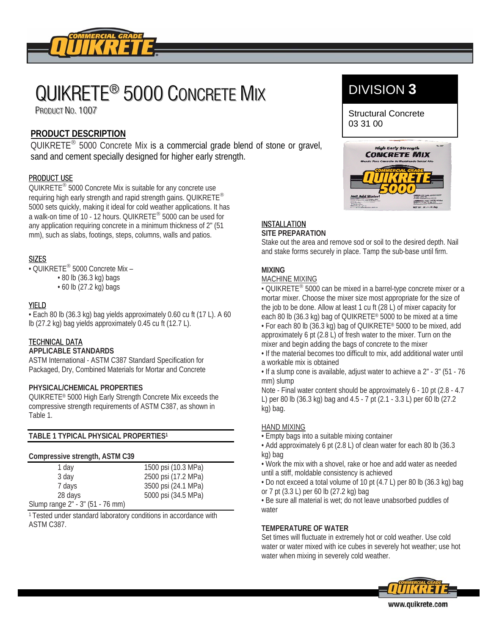

# QUIKRETE<sup>®</sup> 5000 CONCRETE MIX

PRODUCT NO. 1007

# **PRODUCT DESCRIPTION**

QUIKRETE® 5000 Concrete Mix is a commercial grade blend of stone or gravel, sand and cement specially designed for higher early strength.

# PRODUCT USE

QUIKRETE® 5000 Concrete Mix is suitable for any concrete use requiring high early strength and rapid strength gains. QUIKRETE® 5000 sets quickly, making it ideal for cold weather applications. It has a walk-on time of 10 - 12 hours. QUIKRETE® 5000 can be used for any application requiring concrete in a minimum thickness of 2" (51 mm), such as slabs, footings, steps, columns, walls and patios.

# SIZES

- QUIKRETE® 5000 Concrete Mix
	- 80 lb (36.3 kg) bags
	- 60 lb (27.2 kg) bags

## YIELD

• Each 80 lb (36.3 kg) bag yields approximately 0.60 cu ft (17 L). A 60 lb (27.2 kg) bag yields approximately 0.45 cu ft (12.7 L).

# **TECHNICAL DATA**

#### **APPLICABLE STANDARDS**

ASTM International - ASTM C387 Standard Specification for Packaged, Dry, Combined Materials for Mortar and Concrete

#### **PHYSICAL/CHEMICAL PROPERTIES**

QUIKRETE® 5000 High Early Strength Concrete Mix exceeds the compressive strength requirements of ASTM C387, as shown in Table 1.

**TABLE 1 TYPICAL PHYSICAL PROPERTIES1**

#### **Compressive strength, ASTM C39**

| 1 day                            | 1500 psi (10.3 MPa) |
|----------------------------------|---------------------|
| 3 day                            | 2500 psi (17.2 MPa) |
| 7 days                           | 3500 psi (24.1 MPa) |
| 28 days                          | 5000 psi (34.5 MPa) |
| Slump range 2" - 3" (51 - 76 mm) |                     |

1 Tested under standard laboratory conditions in accordance with ASTM C387.

# DIVISION **3**

Structural Concrete 03 31 00



#### **INSTALLATION SITE PREPARATION**

Stake out the area and remove sod or soil to the desired depth. Nail and stake forms securely in place. Tamp the sub-base until firm.

# **MIXING**

MACHINE MIXING

• QUIKRETE<sup>®</sup> 5000 can be mixed in a barrel-type concrete mixer or a mortar mixer. Choose the mixer size most appropriate for the size of the job to be done. Allow at least 1 cu ft (28 L) of mixer capacity for each 80 lb (36.3 kg) bag of QUIKRETE® 5000 to be mixed at a time • For each 80 lb (36.3 kg) bag of QUIKRETE® 5000 to be mixed, add approximately 6 pt (2.8 L) of fresh water to the mixer. Turn on the mixer and begin adding the bags of concrete to the mixer

• If the material becomes too difficult to mix, add additional water until a workable mix is obtained

• If a slump cone is available, adjust water to achieve a 2" - 3" (51 - 76 mm) slump

Note - Final water content should be approximately 6 - 10 pt (2.8 - 4.7 L) per 80 lb (36.3 kg) bag and 4.5 - 7 pt (2.1 - 3.3 L) per 60 lb (27.2 kg) bag.

#### HAND MIXING

• Empty bags into a suitable mixing container

• Add approximately 6 pt (2.8 L) of clean water for each 80 lb (36.3 kg) bag

• Work the mix with a shovel, rake or hoe and add water as needed until a stiff, moldable consistency is achieved

• Do not exceed a total volume of 10 pt (4.7 L) per 80 lb (36.3 kg) bag or 7 pt (3.3 L) per 60 lb (27.2 kg) bag

• Be sure all material is wet; do not leave unabsorbed puddles of water

#### **TEMPERATURE OF WATER**

Set times will fluctuate in extremely hot or cold weather. Use cold water or water mixed with ice cubes in severely hot weather; use hot water when mixing in severely cold weather.



www.quikrete.com